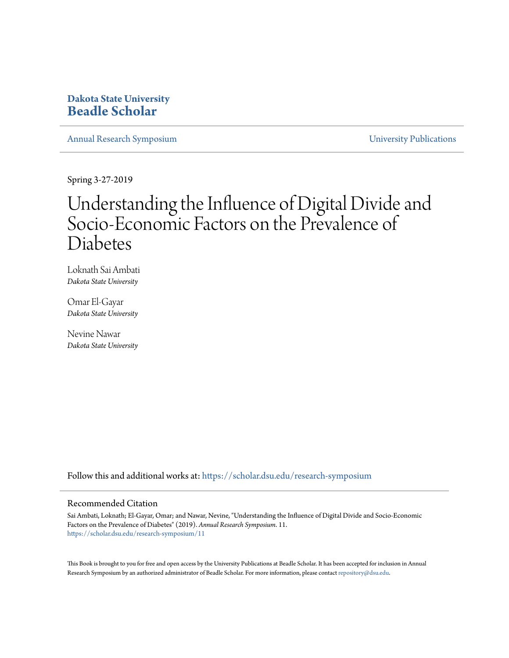### **Dakota State University [Beadle Scholar](https://scholar.dsu.edu?utm_source=scholar.dsu.edu%2Fresearch-symposium%2F11&utm_medium=PDF&utm_campaign=PDFCoverPages)**

[Annual Research Symposium](https://scholar.dsu.edu/research-symposium?utm_source=scholar.dsu.edu%2Fresearch-symposium%2F11&utm_medium=PDF&utm_campaign=PDFCoverPages) [University Publications](https://scholar.dsu.edu/dsupub?utm_source=scholar.dsu.edu%2Fresearch-symposium%2F11&utm_medium=PDF&utm_campaign=PDFCoverPages)

Spring 3-27-2019

### Understanding the Influence of Digital Divide and Socio-Economic Factors on the Prevalence of Diabetes

Loknath Sai Ambati *Dakota State University*

Omar El-Gayar *Dakota State University*

Nevine Nawar *Dakota State University*

Follow this and additional works at: [https://scholar.dsu.edu/research-symposium](https://scholar.dsu.edu/research-symposium?utm_source=scholar.dsu.edu%2Fresearch-symposium%2F11&utm_medium=PDF&utm_campaign=PDFCoverPages)

### Recommended Citation

Sai Ambati, Loknath; El-Gayar, Omar; and Nawar, Nevine, "Understanding the Influence of Digital Divide and Socio-Economic Factors on the Prevalence of Diabetes" (2019). *Annual Research Symposium*. 11. [https://scholar.dsu.edu/research-symposium/11](https://scholar.dsu.edu/research-symposium/11?utm_source=scholar.dsu.edu%2Fresearch-symposium%2F11&utm_medium=PDF&utm_campaign=PDFCoverPages)

This Book is brought to you for free and open access by the University Publications at Beadle Scholar. It has been accepted for inclusion in Annual Research Symposium by an authorized administrator of Beadle Scholar. For more information, please contact [repository@dsu.edu](mailto:repository@dsu.edu).